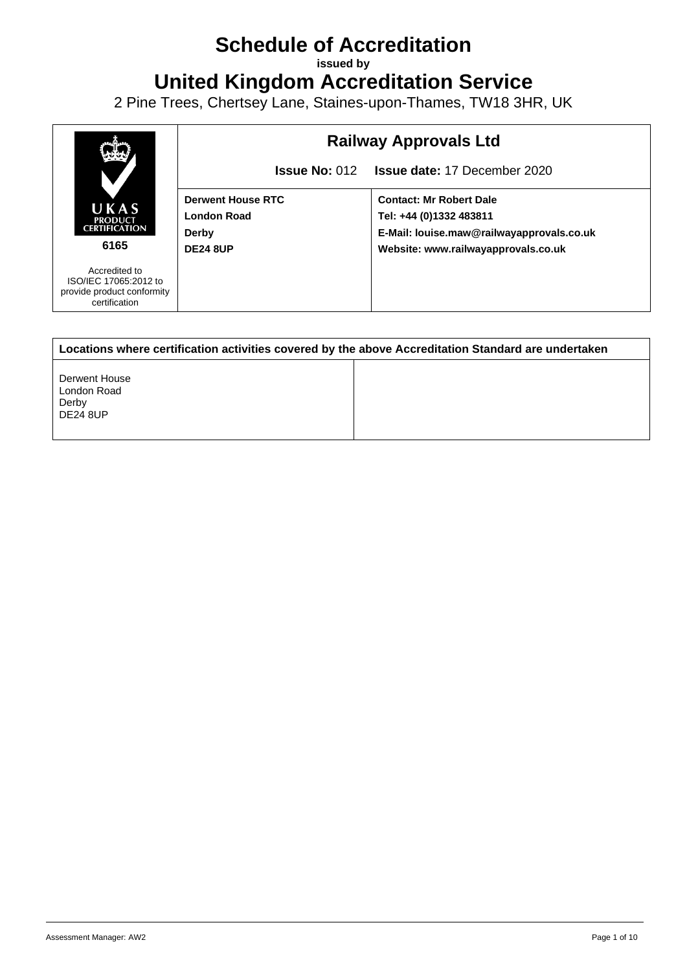## **Schedule of Accreditation**

**issued by**

**United Kingdom Accreditation Service**

2 Pine Trees, Chertsey Lane, Staines-upon-Thames, TW18 3HR, UK



| Locations where certification activities covered by the above Accreditation Standard are undertaken |  |  |
|-----------------------------------------------------------------------------------------------------|--|--|
| Derwent House<br>London Road<br>Derby<br><b>DE24 8UP</b>                                            |  |  |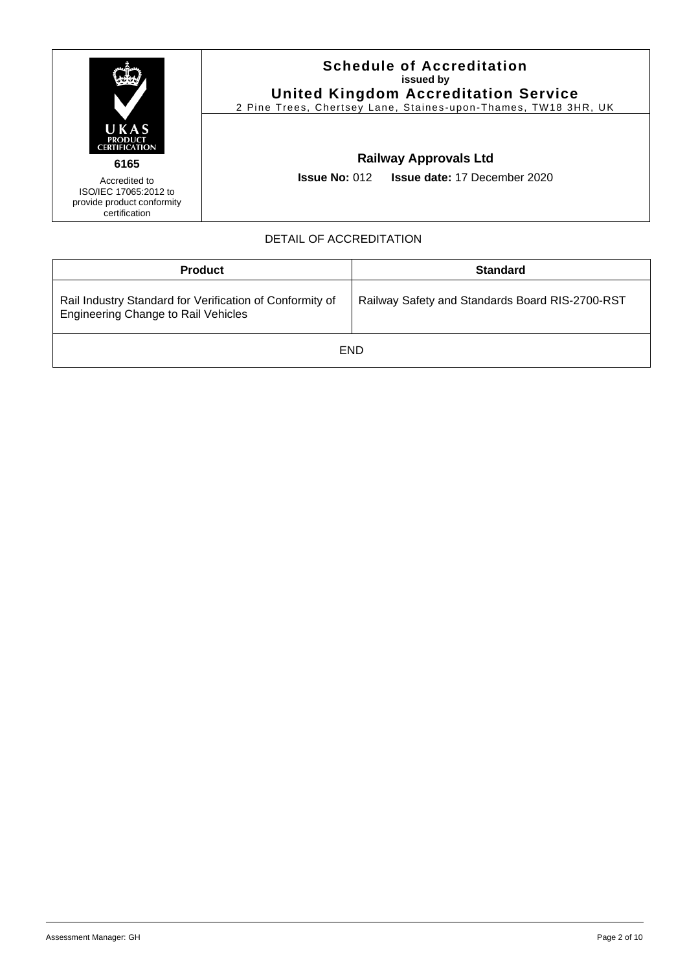|                                                                                       | <b>Schedule of Accreditation</b><br>issued by<br><b>United Kingdom Accreditation Service</b><br>2 Pine Trees, Chertsey Lane, Staines-upon-Thames, TW18 3HR, UK |
|---------------------------------------------------------------------------------------|----------------------------------------------------------------------------------------------------------------------------------------------------------------|
| UKAS<br><b>PRODUCT</b><br><b>CERTIFICATION</b><br>6165                                | <b>Railway Approvals Ltd</b>                                                                                                                                   |
| Accredited to<br>ISO/IEC 17065:2012 to<br>provide product conformity<br>certification | <b>Issue No: 012</b><br><b>Issue date: 17 December 2020</b>                                                                                                    |

## DETAIL OF ACCREDITATION

| <b>Product</b>                                                                                         | <b>Standard</b>                                 |  |
|--------------------------------------------------------------------------------------------------------|-------------------------------------------------|--|
| Rail Industry Standard for Verification of Conformity of<br><b>Engineering Change to Rail Vehicles</b> | Railway Safety and Standards Board RIS-2700-RST |  |
| <b>END</b>                                                                                             |                                                 |  |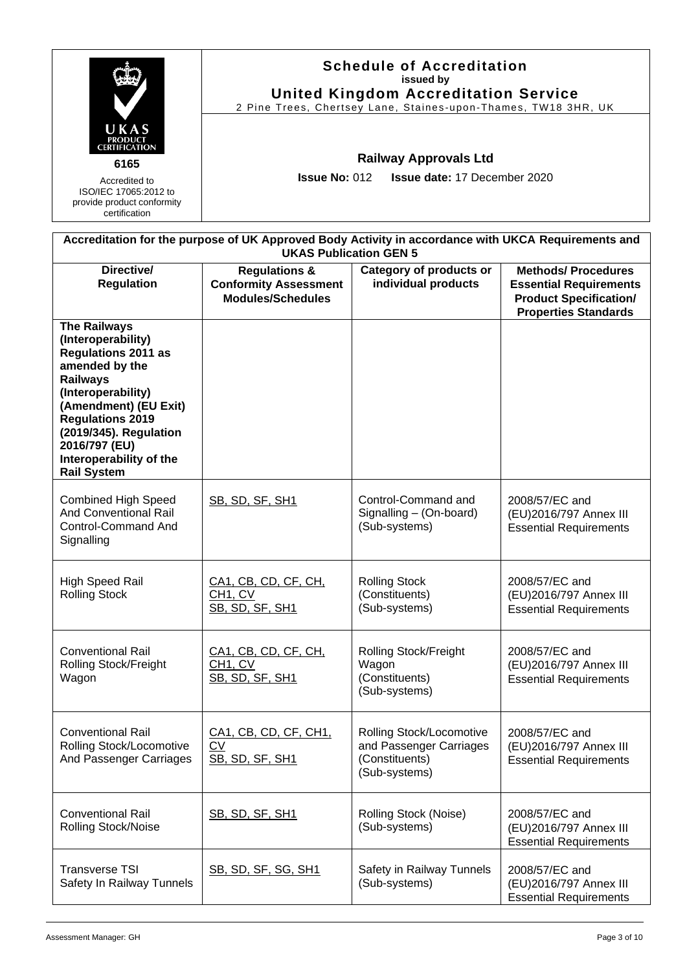|                                                                                       | <b>Schedule of Accreditation</b><br>issued by                            |
|---------------------------------------------------------------------------------------|--------------------------------------------------------------------------|
|                                                                                       | <b>United Kingdom Accreditation Service</b>                              |
|                                                                                       | 2 Pine Trees, Chertsey Lane, Staines-upon-Thames, TW18 3HR, UK           |
| UKAS<br><b>PRODUCT</b><br><b>CERTIFICATION</b>                                        |                                                                          |
| 6165                                                                                  | <b>Railway Approvals Ltd</b>                                             |
| Accredited to<br>ISO/IEC 17065:2012 to<br>provide product conformity<br>certification | <b>Issue No: <math>012</math></b><br><b>Issue date: 17 December 2020</b> |

| canation for the parpose of one Approved Doug Activity in accordance with oneA nequirement<br><b>UKAS Publication GEN 5</b>                                                                                                                                                        |                                                                                      |                                                                                        |                                                                                                                             |  |
|------------------------------------------------------------------------------------------------------------------------------------------------------------------------------------------------------------------------------------------------------------------------------------|--------------------------------------------------------------------------------------|----------------------------------------------------------------------------------------|-----------------------------------------------------------------------------------------------------------------------------|--|
| Directive/<br><b>Regulation</b>                                                                                                                                                                                                                                                    | <b>Regulations &amp;</b><br><b>Conformity Assessment</b><br><b>Modules/Schedules</b> | <b>Category of products or</b><br>individual products                                  | <b>Methods/ Procedures</b><br><b>Essential Requirements</b><br><b>Product Specification/</b><br><b>Properties Standards</b> |  |
| <b>The Railways</b><br>(Interoperability)<br><b>Regulations 2011 as</b><br>amended by the<br><b>Railways</b><br>(Interoperability)<br>(Amendment) (EU Exit)<br><b>Regulations 2019</b><br>(2019/345). Regulation<br>2016/797 (EU)<br>Interoperability of the<br><b>Rail System</b> |                                                                                      |                                                                                        |                                                                                                                             |  |
| <b>Combined High Speed</b><br>And Conventional Rail<br><b>Control-Command And</b><br>Signalling                                                                                                                                                                                    | SB, SD, SF, SH1                                                                      | Control-Command and<br>Signalling - (On-board)<br>(Sub-systems)                        | 2008/57/EC and<br>(EU)2016/797 Annex III<br><b>Essential Requirements</b>                                                   |  |
| <b>High Speed Rail</b><br><b>Rolling Stock</b>                                                                                                                                                                                                                                     | CA1, CB, CD, CF, CH,<br>CH1, CV<br>SB, SD, SF, SH1                                   | <b>Rolling Stock</b><br>(Constituents)<br>(Sub-systems)                                | 2008/57/EC and<br>(EU)2016/797 Annex III<br><b>Essential Requirements</b>                                                   |  |
| <b>Conventional Rail</b><br>Rolling Stock/Freight<br>Wagon                                                                                                                                                                                                                         | <u>CA1, CB, CD, CF, CH,</u><br>CH <sub>1</sub> , C <sub>V</sub><br>SB, SD, SF, SH1   | Rolling Stock/Freight<br>Wagon<br>(Constituents)<br>(Sub-systems)                      | 2008/57/EC and<br>(EU)2016/797 Annex III<br><b>Essential Requirements</b>                                                   |  |
| <b>Conventional Rail</b><br>Rolling Stock/Locomotive<br>And Passenger Carriages                                                                                                                                                                                                    | CA1, CB, CD, CF, CH1,<br><b>CV</b><br>SB, SD, SF, SH1                                | Rolling Stock/Locomotive<br>and Passenger Carriages<br>(Constituents)<br>(Sub-systems) | 2008/57/EC and<br>(EU)2016/797 Annex III<br><b>Essential Requirements</b>                                                   |  |
| <b>Conventional Rail</b><br><b>Rolling Stock/Noise</b>                                                                                                                                                                                                                             | SB, SD, SF, SH1                                                                      | Rolling Stock (Noise)<br>(Sub-systems)                                                 | 2008/57/EC and<br>(EU)2016/797 Annex III<br><b>Essential Requirements</b>                                                   |  |
| <b>Transverse TSI</b><br>Safety In Railway Tunnels                                                                                                                                                                                                                                 | SB, SD, SF, SG, SH1                                                                  | Safety in Railway Tunnels<br>(Sub-systems)                                             | 2008/57/EC and<br>(EU)2016/797 Annex III<br><b>Essential Requirements</b>                                                   |  |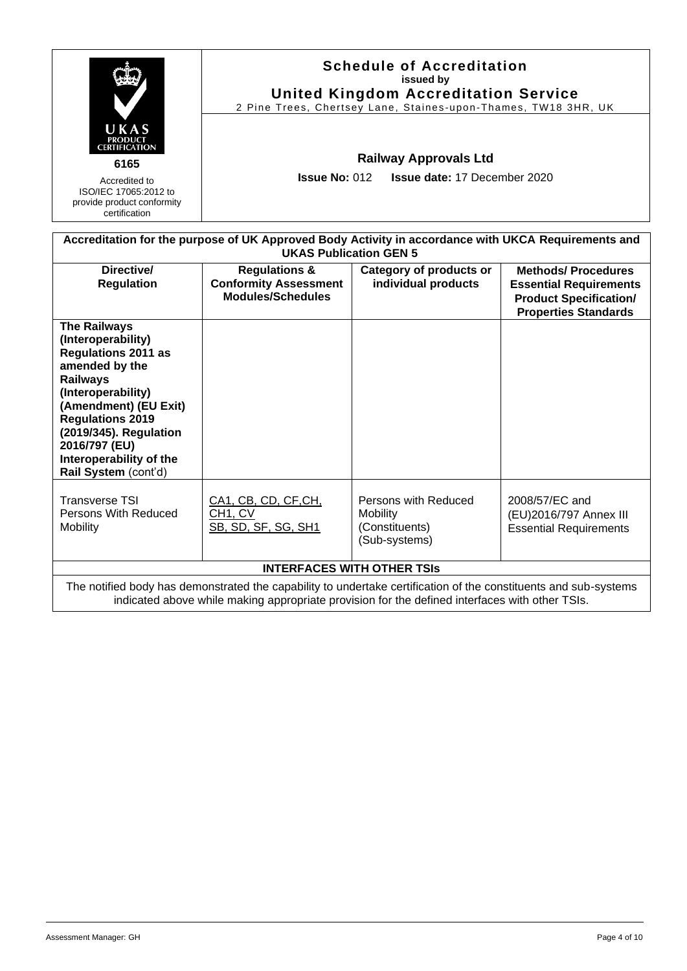|                                                                                       |                                                                | <b>Schedule of Accreditation</b><br>issued by     |  |
|---------------------------------------------------------------------------------------|----------------------------------------------------------------|---------------------------------------------------|--|
|                                                                                       | <b>United Kingdom Accreditation Service</b>                    |                                                   |  |
|                                                                                       | 2 Pine Trees, Chertsey Lane, Staines-upon-Thames, TW18 3HR, UK |                                                   |  |
| UKAS<br><b>PRODUCT</b><br><b>CERTIFICATION</b><br>6165                                |                                                                | <b>Railway Approvals Ltd</b>                      |  |
| Accredited to<br>ISO/IEC 17065:2012 to<br>provide product conformity<br>certification |                                                                | <b>Issue No: 012 Issue date: 17 December 2020</b> |  |

| <b>UKAS Publication GEN 5</b>                                                                                                                                                                                                                                                        |                                                                                      |                                                                            |                                                                                                                             |  |
|--------------------------------------------------------------------------------------------------------------------------------------------------------------------------------------------------------------------------------------------------------------------------------------|--------------------------------------------------------------------------------------|----------------------------------------------------------------------------|-----------------------------------------------------------------------------------------------------------------------------|--|
| Directive/<br><b>Regulation</b>                                                                                                                                                                                                                                                      | <b>Regulations &amp;</b><br><b>Conformity Assessment</b><br><b>Modules/Schedules</b> | <b>Category of products or</b><br>individual products                      | <b>Methods/ Procedures</b><br><b>Essential Requirements</b><br><b>Product Specification/</b><br><b>Properties Standards</b> |  |
| <b>The Railways</b><br>(Interoperability)<br><b>Regulations 2011 as</b><br>amended by the<br><b>Railways</b><br>(Interoperability)<br>(Amendment) (EU Exit)<br><b>Regulations 2019</b><br>(2019/345). Regulation<br>2016/797 (EU)<br>Interoperability of the<br>Rail System (cont'd) |                                                                                      |                                                                            |                                                                                                                             |  |
| <b>Transverse TSI</b><br>Persons With Reduced<br>Mobility                                                                                                                                                                                                                            | CA1, CB, CD, CF, CH,<br>CH <sub>1</sub> , CV<br>SB, SD, SF, SG, SH1                  | Persons with Reduced<br><b>Mobility</b><br>(Constituents)<br>(Sub-systems) | 2008/57/EC and<br>(EU)2016/797 Annex III<br><b>Essential Requirements</b>                                                   |  |
|                                                                                                                                                                                                                                                                                      |                                                                                      | <b>INTERFACES WITH OTHER TSIS</b>                                          |                                                                                                                             |  |
| The notified body has demonstrated the capability to undertake certification of the constituents and sub-systems<br>indicated above while making appropriate provision for the defined interfaces with other TSIs.                                                                   |                                                                                      |                                                                            |                                                                                                                             |  |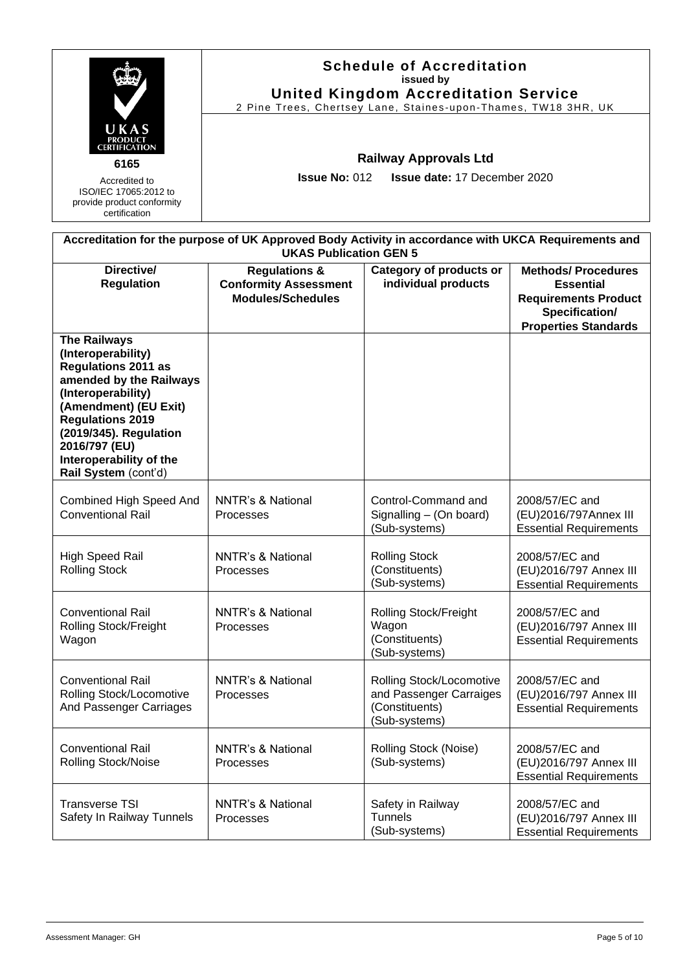|                                                                                       | <b>Schedule of Accreditation</b><br>issued by<br><b>United Kingdom Accreditation Service</b><br>2 Pine Trees, Chertsey Lane, Staines-upon-Thames, TW18 3HR, UK |
|---------------------------------------------------------------------------------------|----------------------------------------------------------------------------------------------------------------------------------------------------------------|
| UKAS<br><b>PRODUCT</b><br><b>CERTIFICATION</b><br>6165                                | <b>Railway Approvals Ltd</b>                                                                                                                                   |
| Accredited to<br>ISO/IEC 17065:2012 to<br>provide product conformity<br>certification | <b>Issue No: <math>012</math></b><br><b>Issue date: 17 December 2020</b>                                                                                       |
|                                                                                       | Accreditation for the purpose of UK Approved Body Activity in accordance with UKCA Requirements and<br><b>UKAS Publication GEN 5</b>                           |
| $D: \mathbb{R} \times \mathbb{R}$                                                     | Cotonomi of musslipte on<br>Mathedal Bassadense<br>$P_{1}$ $P_{2}$ $P_{3}$                                                                                     |

| Directive/<br><b>Regulation</b>                                                                                                                                                                                                                                            | <b>Regulations &amp;</b><br><b>Conformity Assessment</b><br><b>Modules/Schedules</b> | Category of products or<br>individual products                                         | <b>Methods/ Procedures</b><br><b>Essential</b><br><b>Requirements Product</b><br>Specification/<br><b>Properties Standards</b> |
|----------------------------------------------------------------------------------------------------------------------------------------------------------------------------------------------------------------------------------------------------------------------------|--------------------------------------------------------------------------------------|----------------------------------------------------------------------------------------|--------------------------------------------------------------------------------------------------------------------------------|
| <b>The Railways</b><br>(Interoperability)<br><b>Regulations 2011 as</b><br>amended by the Railways<br>(Interoperability)<br>(Amendment) (EU Exit)<br><b>Regulations 2019</b><br>(2019/345). Regulation<br>2016/797 (EU)<br>Interoperability of the<br>Rail System (cont'd) |                                                                                      |                                                                                        |                                                                                                                                |
| <b>Combined High Speed And</b><br><b>Conventional Rail</b>                                                                                                                                                                                                                 | <b>NNTR's &amp; National</b><br>Processes                                            | Control-Command and<br>Signalling - (On board)<br>(Sub-systems)                        | 2008/57/EC and<br>(EU)2016/797Annex III<br><b>Essential Requirements</b>                                                       |
| <b>High Speed Rail</b><br><b>Rolling Stock</b>                                                                                                                                                                                                                             | <b>NNTR's &amp; National</b><br><b>Processes</b>                                     | <b>Rolling Stock</b><br>(Constituents)<br>(Sub-systems)                                | 2008/57/EC and<br>(EU)2016/797 Annex III<br><b>Essential Requirements</b>                                                      |
| <b>Conventional Rail</b><br>Rolling Stock/Freight<br>Wagon                                                                                                                                                                                                                 | <b>NNTR's &amp; National</b><br>Processes                                            | Rolling Stock/Freight<br>Wagon<br>(Constituents)<br>(Sub-systems)                      | 2008/57/EC and<br>(EU)2016/797 Annex III<br><b>Essential Requirements</b>                                                      |
| <b>Conventional Rail</b><br>Rolling Stock/Locomotive<br>And Passenger Carriages                                                                                                                                                                                            | <b>NNTR's &amp; National</b><br>Processes                                            | Rolling Stock/Locomotive<br>and Passenger Carraiges<br>(Constituents)<br>(Sub-systems) | 2008/57/EC and<br>(EU)2016/797 Annex III<br><b>Essential Requirements</b>                                                      |
| <b>Conventional Rail</b><br>Rolling Stock/Noise                                                                                                                                                                                                                            | <b>NNTR's &amp; National</b><br>Processes                                            | Rolling Stock (Noise)<br>(Sub-systems)                                                 | 2008/57/EC and<br>(EU)2016/797 Annex III<br><b>Essential Requirements</b>                                                      |
| Transverse TSI<br>Safety In Railway Tunnels                                                                                                                                                                                                                                | <b>NNTR's &amp; National</b><br>Processes                                            | Safety in Railway<br><b>Tunnels</b><br>(Sub-systems)                                   | 2008/57/EC and<br>(EU)2016/797 Annex III<br><b>Essential Requirements</b>                                                      |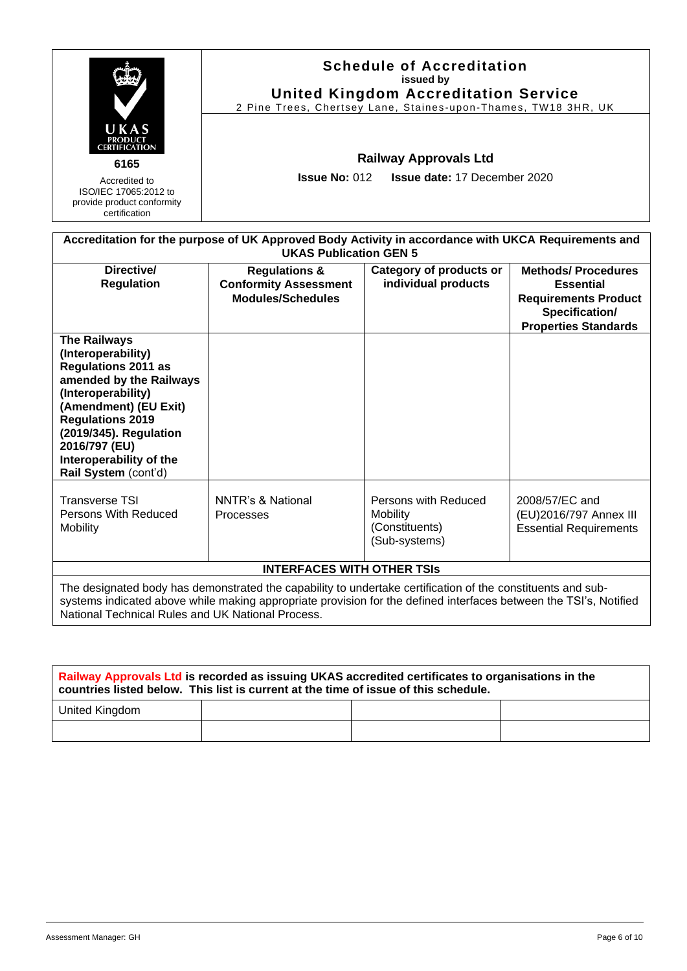|                                                                                       | <b>Schedule of Accreditation</b><br>issued by<br><b>United Kingdom Accreditation Service</b><br>2 Pine Trees, Chertsey Lane, Staines-upon-Thames, TW18 3HR, UK |  |
|---------------------------------------------------------------------------------------|----------------------------------------------------------------------------------------------------------------------------------------------------------------|--|
| UKAS<br><b>PRODUCT</b><br><b>CERTIFICATION</b><br>6165                                | <b>Railway Approvals Ltd</b>                                                                                                                                   |  |
| Accredited to<br>ISO/IEC 17065:2012 to<br>provide product conformity<br>certification | <b>Issue No: 012</b><br><b>Issue date: 17 December 2020</b>                                                                                                    |  |
|                                                                                       | Accreditation for the purpose of UK Approved Body Activity in accordance with UKCA Requirements and<br><b>UKAS Publication GEN 5</b>                           |  |

|                                                                                                                                                                                                                                                                            | יום טושיווטמווטוו שב                                                                 |                                                                            |                                                                                                                               |
|----------------------------------------------------------------------------------------------------------------------------------------------------------------------------------------------------------------------------------------------------------------------------|--------------------------------------------------------------------------------------|----------------------------------------------------------------------------|-------------------------------------------------------------------------------------------------------------------------------|
| Directive/<br><b>Regulation</b>                                                                                                                                                                                                                                            | <b>Regulations &amp;</b><br><b>Conformity Assessment</b><br><b>Modules/Schedules</b> | Category of products or<br>individual products                             | <b>Methods/Procedures</b><br><b>Essential</b><br><b>Requirements Product</b><br>Specification/<br><b>Properties Standards</b> |
| <b>The Railways</b><br>(Interoperability)<br><b>Regulations 2011 as</b><br>amended by the Railways<br>(Interoperability)<br>(Amendment) (EU Exit)<br><b>Regulations 2019</b><br>(2019/345). Regulation<br>2016/797 (EU)<br>Interoperability of the<br>Rail System (cont'd) |                                                                                      |                                                                            |                                                                                                                               |
| <b>Transverse TSI</b><br>Persons With Reduced<br><b>Mobility</b>                                                                                                                                                                                                           | NNTR's & National<br><b>Processes</b>                                                | Persons with Reduced<br><b>Mobility</b><br>(Constituents)<br>(Sub-systems) | 2008/57/EC and<br>(EU)2016/797 Annex III<br><b>Essential Requirements</b>                                                     |
|                                                                                                                                                                                                                                                                            | <b>INTERFACES WITH OTHER TSIS</b>                                                    |                                                                            |                                                                                                                               |
| The designated body has demonstrated the capability to undertake certification of the constituents and sub-<br>evetame indicated above while making appropriate provision for the defined interfaces between the TSI's Notified                                            |                                                                                      |                                                                            |                                                                                                                               |

systems indicated above while making appropriate provision for the defined interfaces between the TSI's, Notified National Technical Rules and UK National Process.

| Railway Approvals Ltd is recorded as issuing UKAS accredited certificates to organisations in the<br>countries listed below. This list is current at the time of issue of this schedule. |  |  |  |
|------------------------------------------------------------------------------------------------------------------------------------------------------------------------------------------|--|--|--|
| United Kingdom                                                                                                                                                                           |  |  |  |
|                                                                                                                                                                                          |  |  |  |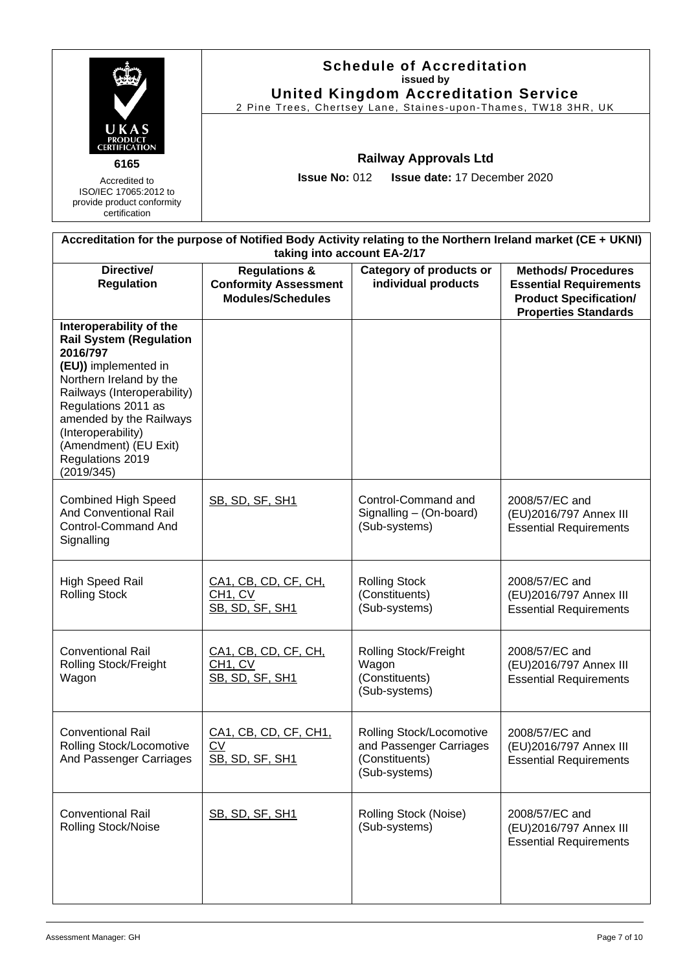|                                                                                       | <b>Schedule of Accreditation</b><br>issued by                                                                 |  |  |
|---------------------------------------------------------------------------------------|---------------------------------------------------------------------------------------------------------------|--|--|
|                                                                                       | <b>United Kingdom Accreditation Service</b><br>2 Pine Trees, Chertsey Lane, Staines-upon-Thames, TW18 3HR, UK |  |  |
| UKAS<br><b>PRODUCT</b><br><b>CERTIFICATION</b><br>6165                                | <b>Railway Approvals Ltd</b>                                                                                  |  |  |
| Accredited to<br>ISO/IEC 17065:2012 to<br>provide product conformity<br>certification | <b>Issue No: 012</b><br><b>Issue date: 17 December 2020</b>                                                   |  |  |

| Accreditation for the purpose of Notified Body Activity relating to the Northern Ireland market (CE + UKNI)<br>taking into account EA-2/17                                                                                                                                                 |                                                                                      |                                                                                        |                                                                                                                             |  |
|--------------------------------------------------------------------------------------------------------------------------------------------------------------------------------------------------------------------------------------------------------------------------------------------|--------------------------------------------------------------------------------------|----------------------------------------------------------------------------------------|-----------------------------------------------------------------------------------------------------------------------------|--|
| Directive/<br><b>Regulation</b>                                                                                                                                                                                                                                                            | <b>Regulations &amp;</b><br><b>Conformity Assessment</b><br><b>Modules/Schedules</b> | <b>Category of products or</b><br>individual products                                  | <b>Methods/ Procedures</b><br><b>Essential Requirements</b><br><b>Product Specification/</b><br><b>Properties Standards</b> |  |
| Interoperability of the<br><b>Rail System (Regulation</b><br>2016/797<br>(EU)) implemented in<br>Northern Ireland by the<br>Railways (Interoperability)<br>Regulations 2011 as<br>amended by the Railways<br>(Interoperability)<br>(Amendment) (EU Exit)<br>Regulations 2019<br>(2019/345) |                                                                                      |                                                                                        |                                                                                                                             |  |
| <b>Combined High Speed</b><br>And Conventional Rail<br><b>Control-Command And</b><br>Signalling                                                                                                                                                                                            | SB, SD, SF, SH1                                                                      | Control-Command and<br>Signalling - (On-board)<br>(Sub-systems)                        | 2008/57/EC and<br>(EU)2016/797 Annex III<br><b>Essential Requirements</b>                                                   |  |
| <b>High Speed Rail</b><br><b>Rolling Stock</b>                                                                                                                                                                                                                                             | CA1, CB, CD, CF, CH,<br>CH1, CV<br>SB, SD, SF, SH1                                   | <b>Rolling Stock</b><br>(Constituents)<br>(Sub-systems)                                | 2008/57/EC and<br>(EU)2016/797 Annex III<br><b>Essential Requirements</b>                                                   |  |
| <b>Conventional Rail</b><br>Rolling Stock/Freight<br>Wagon                                                                                                                                                                                                                                 | CA1, CB, CD, CF, CH,<br>CH1, CV<br>SB, SD, SF, SH1                                   | Rolling Stock/Freight<br>Wagon<br>(Constituents)<br>(Sub-systems)                      | 2008/57/EC and<br>(EU)2016/797 Annex III<br><b>Essential Requirements</b>                                                   |  |
| <b>Conventional Rail</b><br>Rolling Stock/Locomotive<br>And Passenger Carriages                                                                                                                                                                                                            | CA1, CB, CD, CF, CH1,<br>CV<br>SB, SD, SF, SH1                                       | Rolling Stock/Locomotive<br>and Passenger Carriages<br>(Constituents)<br>(Sub-systems) | 2008/57/EC and<br>(EU)2016/797 Annex III<br><b>Essential Requirements</b>                                                   |  |
| <b>Conventional Rail</b><br>Rolling Stock/Noise                                                                                                                                                                                                                                            | SB, SD, SF, SH1                                                                      | Rolling Stock (Noise)<br>(Sub-systems)                                                 | 2008/57/EC and<br>(EU)2016/797 Annex III<br><b>Essential Requirements</b>                                                   |  |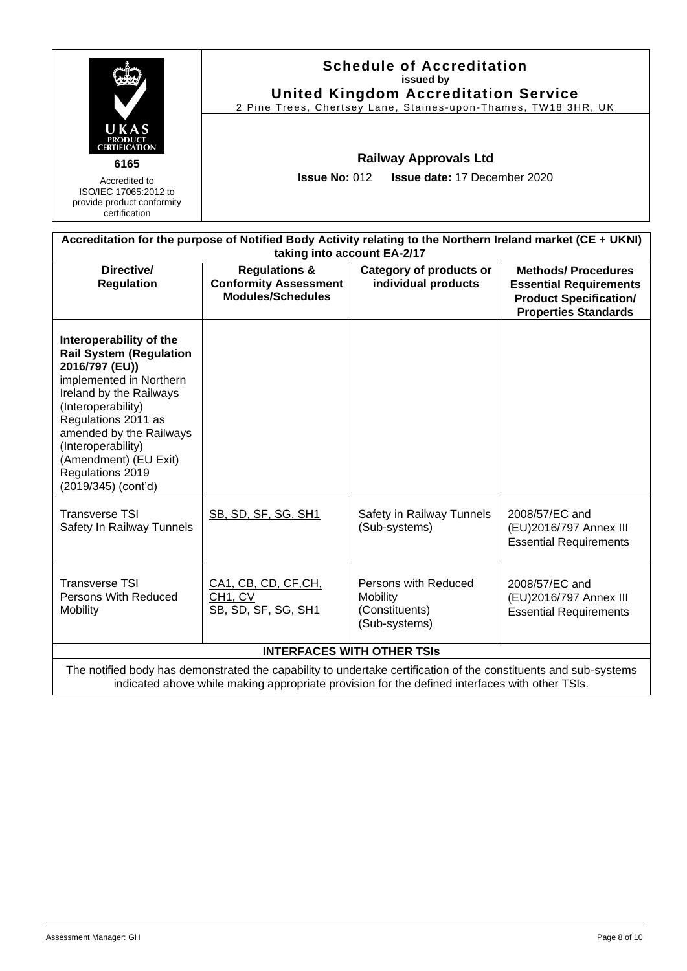|                                                                                       | <b>Schedule of Accreditation</b><br>issued by                                                                 |  |  |
|---------------------------------------------------------------------------------------|---------------------------------------------------------------------------------------------------------------|--|--|
|                                                                                       | <b>United Kingdom Accreditation Service</b><br>2 Pine Trees, Chertsey Lane, Staines-upon-Thames, TW18 3HR, UK |  |  |
|                                                                                       |                                                                                                               |  |  |
| UKAS<br><b>PRODUCT</b><br><b>CERTIFICATION</b>                                        |                                                                                                               |  |  |
| 6165                                                                                  | <b>Railway Approvals Ltd</b>                                                                                  |  |  |
| Accredited to<br>ISO/IEC 17065:2012 to<br>provide product conformity<br>certification | <b>Issue No: 012 Issue date: 17 December 2020</b>                                                             |  |  |

| Accreditation for the purpose of Notified Body Activity relating to the Northern Ireland market (CE + UKNI)<br>taking into account EA-2/17                                                                                                                                                          |                                                                                      |                                                                     |                                                                                                                             |
|-----------------------------------------------------------------------------------------------------------------------------------------------------------------------------------------------------------------------------------------------------------------------------------------------------|--------------------------------------------------------------------------------------|---------------------------------------------------------------------|-----------------------------------------------------------------------------------------------------------------------------|
| Directive/<br><b>Regulation</b>                                                                                                                                                                                                                                                                     | <b>Regulations &amp;</b><br><b>Conformity Assessment</b><br><b>Modules/Schedules</b> | <b>Category of products or</b><br>individual products               | <b>Methods/ Procedures</b><br><b>Essential Requirements</b><br><b>Product Specification/</b><br><b>Properties Standards</b> |
| Interoperability of the<br><b>Rail System (Regulation</b><br>2016/797 (EU))<br>implemented in Northern<br>Ireland by the Railways<br>(Interoperability)<br>Regulations 2011 as<br>amended by the Railways<br>(Interoperability)<br>(Amendment) (EU Exit)<br>Regulations 2019<br>(2019/345) (cont'd) |                                                                                      |                                                                     |                                                                                                                             |
| <b>Transverse TSI</b><br>Safety In Railway Tunnels                                                                                                                                                                                                                                                  | SB, SD, SF, SG, SH1                                                                  | Safety in Railway Tunnels<br>(Sub-systems)                          | 2008/57/EC and<br>(EU)2016/797 Annex III<br><b>Essential Requirements</b>                                                   |
| <b>Transverse TSI</b><br>Persons With Reduced<br>Mobility                                                                                                                                                                                                                                           | CA1, CB, CD, CF, CH,<br>CH1, CV<br>SB, SD, SF, SG, SH1                               | Persons with Reduced<br>Mobility<br>(Constituents)<br>(Sub-systems) | 2008/57/EC and<br>(EU)2016/797 Annex III<br><b>Essential Requirements</b>                                                   |
| <b>INTERFACES WITH OTHER TSIS</b>                                                                                                                                                                                                                                                                   |                                                                                      |                                                                     |                                                                                                                             |
| The notified body has demonstrated the capability to undertake certification of the constituents and sub-systems<br>indicated above while making appropriate provision for the defined interfaces with other TSIs.                                                                                  |                                                                                      |                                                                     |                                                                                                                             |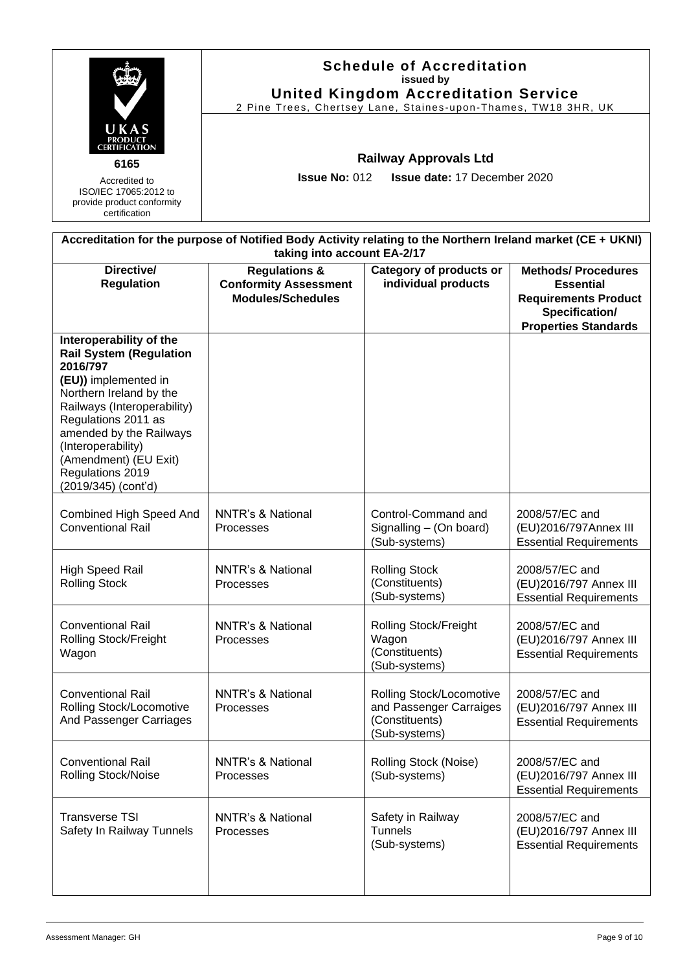|                                                                                       | <b>Schedule of Accreditation</b><br>issued by<br><b>United Kingdom Accreditation Service</b><br>2 Pine Trees, Chertsey Lane, Staines-upon-Thames, TW18 3HR, UK |  |
|---------------------------------------------------------------------------------------|----------------------------------------------------------------------------------------------------------------------------------------------------------------|--|
| UKAS<br><b>PRODUCT</b><br><b>CERTIFICATION</b><br>6165                                | <b>Railway Approvals Ltd</b>                                                                                                                                   |  |
| Accredited to<br>ISO/IEC 17065:2012 to<br>provide product conformity<br>certification | <b>Issue No: <math>012</math></b><br><b>Issue date: 17 December 2020</b>                                                                                       |  |

| taking into account EA-2/17                                                                                                                                                                                                                                                                         |                                                                                      |                                                                                        |                                                                                                                                |
|-----------------------------------------------------------------------------------------------------------------------------------------------------------------------------------------------------------------------------------------------------------------------------------------------------|--------------------------------------------------------------------------------------|----------------------------------------------------------------------------------------|--------------------------------------------------------------------------------------------------------------------------------|
| Directive/<br><b>Regulation</b>                                                                                                                                                                                                                                                                     | <b>Regulations &amp;</b><br><b>Conformity Assessment</b><br><b>Modules/Schedules</b> | Category of products or<br>individual products                                         | <b>Methods/ Procedures</b><br><b>Essential</b><br><b>Requirements Product</b><br>Specification/<br><b>Properties Standards</b> |
| Interoperability of the<br><b>Rail System (Regulation</b><br>2016/797<br>(EU)) implemented in<br>Northern Ireland by the<br>Railways (Interoperability)<br>Regulations 2011 as<br>amended by the Railways<br>(Interoperability)<br>(Amendment) (EU Exit)<br>Regulations 2019<br>(2019/345) (cont'd) |                                                                                      |                                                                                        |                                                                                                                                |
| <b>Combined High Speed And</b><br><b>Conventional Rail</b>                                                                                                                                                                                                                                          | <b>NNTR's &amp; National</b><br>Processes                                            | Control-Command and<br>Signalling - (On board)<br>(Sub-systems)                        | 2008/57/EC and<br>(EU)2016/797Annex III<br><b>Essential Requirements</b>                                                       |
| <b>High Speed Rail</b><br><b>Rolling Stock</b>                                                                                                                                                                                                                                                      | <b>NNTR's &amp; National</b><br>Processes                                            | <b>Rolling Stock</b><br>(Constituents)<br>(Sub-systems)                                | 2008/57/EC and<br>(EU)2016/797 Annex III<br><b>Essential Requirements</b>                                                      |
| <b>Conventional Rail</b><br>Rolling Stock/Freight<br>Wagon                                                                                                                                                                                                                                          | <b>NNTR's &amp; National</b><br>Processes                                            | Rolling Stock/Freight<br>Wagon<br>(Constituents)<br>(Sub-systems)                      | 2008/57/EC and<br>(EU)2016/797 Annex III<br><b>Essential Requirements</b>                                                      |
| <b>Conventional Rail</b><br>Rolling Stock/Locomotive<br>And Passenger Carriages                                                                                                                                                                                                                     | <b>NNTR's &amp; National</b><br>Processes                                            | Rolling Stock/Locomotive<br>and Passenger Carraiges<br>(Constituents)<br>(Sub-systems) | 2008/57/EC and<br>(EU)2016/797 Annex III<br><b>Essential Requirements</b>                                                      |
| <b>Conventional Rail</b><br><b>Rolling Stock/Noise</b>                                                                                                                                                                                                                                              | <b>NNTR's &amp; National</b><br>Processes                                            | Rolling Stock (Noise)<br>(Sub-systems)                                                 | 2008/57/EC and<br>(EU)2016/797 Annex III<br><b>Essential Requirements</b>                                                      |
| <b>Transverse TSI</b><br>Safety In Railway Tunnels                                                                                                                                                                                                                                                  | <b>NNTR's &amp; National</b><br>Processes                                            | Safety in Railway<br><b>Tunnels</b><br>(Sub-systems)                                   | 2008/57/EC and<br>(EU)2016/797 Annex III<br><b>Essential Requirements</b>                                                      |